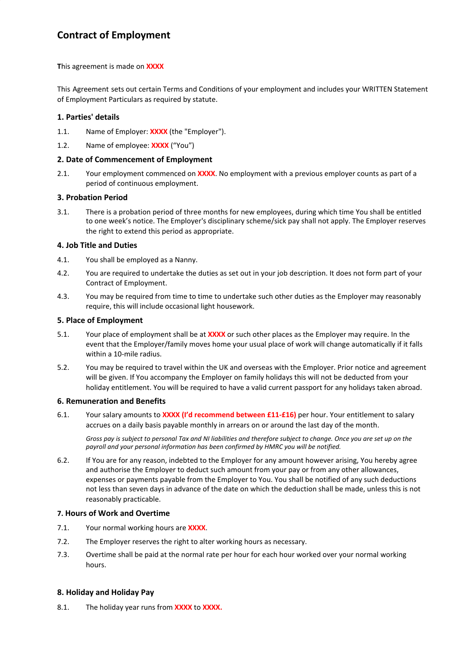# **Contract of Employment**

**T**his agreement is made on **XXXX**

This Agreement sets out certain Terms and Conditions of your employment and includes your WRITTEN Statement of Employment Particulars as required by statute.

### **1. Parties' details**

- 1.1. Name of Employer: **XXXX** (the "Employer").
- 1.2. Name of employee: **XXXX** ("You")

#### **2. Date of Commencement of Employment**

2.1. Your employment commenced on **XXXX**. No employment with a previous employer counts as part of a period of continuous employment.

### **3. Probation Period**

3.1. There is a probation period of three months for new employees, during which time You shall be entitled to one week's notice. The Employer's disciplinary scheme/sick pay shall not apply. The Employer reserves the right to extend this period as appropriate.

### **4. Job Title and Duties**

- 4.1. You shall be employed as a Nanny.
- 4.2. You are required to undertake the duties as set out in your job description. It does not form part of your Contract of Employment.
- 4.3. You may be required from time to time to undertake such other duties as the Employer may reasonably require, this will include occasional light housework.

### **5. Place of Employment**

- 5.1. Your place of employment shall be at **XXXX** or such other places as the Employer may require. In the event that the Employer/family moves home your usual place of work will change automatically if it falls within a 10-mile radius.
- 5.2. You may be required to travel within the UK and overseas with the Employer. Prior notice and agreement will be given. If You accompany the Employer on family holidays this will not be deducted from your holiday entitlement. You will be required to have a valid current passport for any holidays taken abroad.

#### **6. Remuneration and Benefits**

6.1. Your salary amounts to **XXXX (I'd recommend between £11-£16)** per hour. Your entitlement to salary accrues on a daily basis payable monthly in arrears on or around the last day of the month.

*Gross pay is subject to personal Tax and NI liabilities and therefore subject to change. Once you are set up on the payroll and your personal information has been confirmed by HMRC you will be notified.*

6.2. If You are for any reason, indebted to the Employer for any amount however arising, You hereby agree and authorise the Employer to deduct such amount from your pay or from any other allowances, expenses or payments payable from the Employer to You. You shall be notified of any such deductions not less than seven days in advance of the date on which the deduction shall be made, unless this is not reasonably practicable.

# **7. Hours of Work and Overtime**

- 7.1. Your normal working hours are **XXXX**.
- 7.2. The Employer reserves the right to alter working hours as necessary.
- 7.3. Overtime shall be paid at the normal rate per hour for each hour worked over your normal working hours.

# **8. Holiday and Holiday Pay**

8.1. The holiday year runs from **XXXX** to **XXXX.**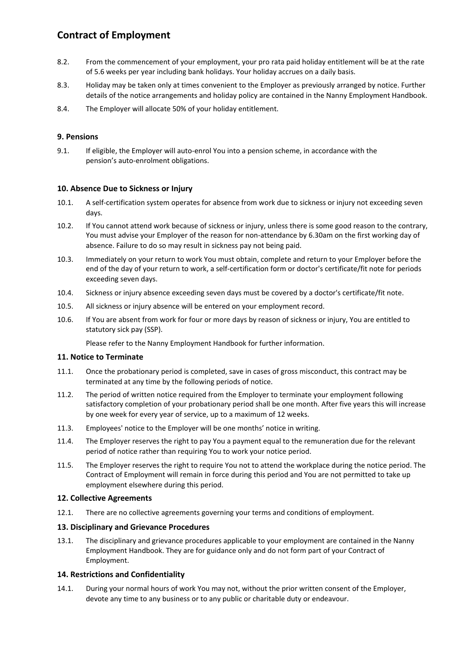# **Contract of Employment**

- 8.2. From the commencement of your employment, your pro rata paid holiday entitlement will be at the rate of 5.6 weeks per year including bank holidays. Your holiday accrues on a daily basis.
- 8.3. Holiday may be taken only at times convenient to the Employer as previously arranged by notice. Further details of the notice arrangements and holiday policy are contained in the Nanny Employment Handbook.
- 8.4. The Employer will allocate 50% of your holiday entitlement.

# **9. Pensions**

9.1. If eligible, the Employer will auto-enrol You into a pension scheme, in accordance with the pension's auto-enrolment obligations.

# **10. Absence Due to Sickness or Injury**

- 10.1. A self-certification system operates for absence from work due to sickness or injury not exceeding seven days.
- 10.2. If You cannot attend work because of sickness or injury, unless there is some good reason to the contrary, You must advise your Employer of the reason for non-attendance by 6.30am on the first working day of absence. Failure to do so may result in sickness pay not being paid.
- 10.3. Immediately on your return to work You must obtain, complete and return to your Employer before the end of the day of your return to work, a self-certification form or doctor's certificate/fit note for periods exceeding seven days.
- 10.4. Sickness or injury absence exceeding seven days must be covered by a doctor's certificate/fit note.
- 10.5. All sickness or injury absence will be entered on your employment record.
- 10.6. If You are absent from work for four or more days by reason of sickness or injury, You are entitled to statutory sick pay (SSP).

Please refer to the Nanny Employment Handbook for further information.

# **11. Notice to Terminate**

- 11.1. Once the probationary period is completed, save in cases of gross misconduct, this contract may be terminated at any time by the following periods of notice.
- 11.2. The period of written notice required from the Employer to terminate your employment following satisfactory completion of your probationary period shall be one month. After five years this will increase by one week for every year of service, up to a maximum of 12 weeks.
- 11.3. Employees' notice to the Employer will be one months' notice in writing.
- 11.4. The Employer reserves the right to pay You a payment equal to the remuneration due for the relevant period of notice rather than requiring You to work your notice period.
- 11.5. The Employer reserves the right to require You not to attend the workplace during the notice period. The Contract of Employment will remain in force during this period and You are not permitted to take up employment elsewhere during this period.

# **12. Collective Agreements**

12.1. There are no collective agreements governing your terms and conditions of employment.

# **13. Disciplinary and Grievance Procedures**

13.1. The disciplinary and grievance procedures applicable to your employment are contained in the Nanny Employment Handbook. They are for guidance only and do not form part of your Contract of Employment.

# **14. Restrictions and Confidentiality**

14.1. During your normal hours of work You may not, without the prior written consent of the Employer, devote any time to any business or to any public or charitable duty or endeavour.